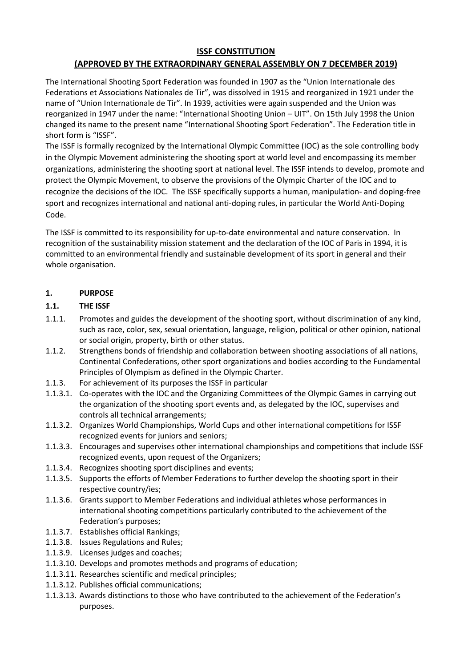#### **ISSF CONSTITUTION**

# **(APPROVED BY THE EXTRAORDINARY GENERAL ASSEMBLY ON 7 DECEMBER 2019)**

The International Shooting Sport Federation was founded in 1907 as the "Union Internationale des Federations et Associations Nationales de Tir", was dissolved in 1915 and reorganized in 1921 under the name of "Union Internationale de Tir". In 1939, activities were again suspended and the Union was reorganized in 1947 under the name: "International Shooting Union – UIT". On 15th July 1998 the Union changed its name to the present name "International Shooting Sport Federation". The Federation title in short form is "ISSF".

The ISSF is formally recognized by the International Olympic Committee (IOC) as the sole controlling body in the Olympic Movement administering the shooting sport at world level and encompassing its member organizations, administering the shooting sport at national level. The ISSF intends to develop, promote and protect the Olympic Movement, to observe the provisions of the Olympic Charter of the IOC and to recognize the decisions of the IOC. The ISSF specifically supports a human, manipulation- and doping-free sport and recognizes international and national anti-doping rules, in particular the World Anti-Doping Code.

The ISSF is committed to its responsibility for up-to-date environmental and nature conservation. In recognition of the sustainability mission statement and the declaration of the IOC of Paris in 1994, it is committed to an environmental friendly and sustainable development of its sport in general and their whole organisation.

# **1. PURPOSE**

### **1.1. THE ISSF**

- 1.1.1. Promotes and guides the development of the shooting sport, without discrimination of any kind, such as race, color, sex, sexual orientation, language, religion, political or other opinion, national or social origin, property, birth or other status.
- 1.1.2. Strengthens bonds of friendship and collaboration between shooting associations of all nations, Continental Confederations, other sport organizations and bodies according to the Fundamental Principles of Olympism as defined in the Olympic Charter.
- 1.1.3. For achievement of its purposes the ISSF in particular
- 1.1.3.1. Co-operates with the IOC and the Organizing Committees of the Olympic Games in carrying out the organization of the shooting sport events and, as delegated by the IOC, supervises and controls all technical arrangements;
- 1.1.3.2. Organizes World Championships, World Cups and other international competitions for ISSF recognized events for juniors and seniors;
- 1.1.3.3. Encourages and supervises other international championships and competitions that include ISSF recognized events, upon request of the Organizers;
- 1.1.3.4. Recognizes shooting sport disciplines and events;
- 1.1.3.5. Supports the efforts of Member Federations to further develop the shooting sport in their respective country/ies;
- 1.1.3.6. Grants support to Member Federations and individual athletes whose performances in international shooting competitions particularly contributed to the achievement of the Federation's purposes;
- 1.1.3.7. Establishes official Rankings;
- 1.1.3.8. Issues Regulations and Rules;
- 1.1.3.9. Licenses judges and coaches;
- 1.1.3.10. Develops and promotes methods and programs of education;
- 1.1.3.11. Researches scientific and medical principles;
- 1.1.3.12. Publishes official communications;
- 1.1.3.13. Awards distinctions to those who have contributed to the achievement of the Federation's purposes.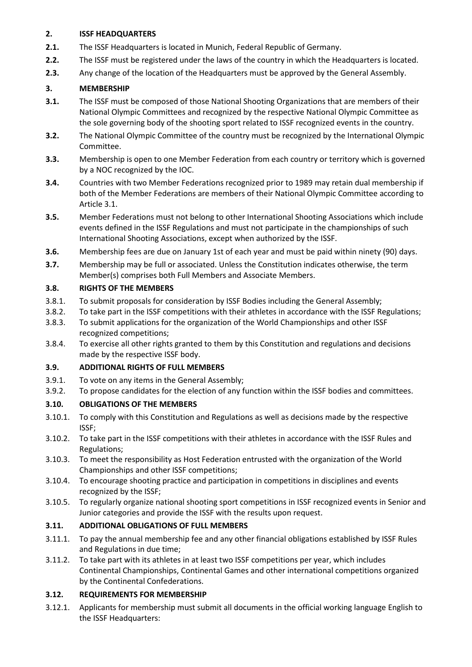### **2. ISSF HEADQUARTERS**

- **2.1.** The ISSF Headquarters is located in Munich, Federal Republic of Germany.
- **2.2.** The ISSF must be registered under the laws of the country in which the Headquarters is located.
- **2.3.** Any change of the location of the Headquarters must be approved by the General Assembly.

## **3. MEMBERSHIP**

- **3.1.** The ISSF must be composed of those National Shooting Organizations that are members of their National Olympic Committees and recognized by the respective National Olympic Committee as the sole governing body of the shooting sport related to ISSF recognized events in the country.
- **3.2.** The National Olympic Committee of the country must be recognized by the International Olympic Committee.
- **3.3.** Membership is open to one Member Federation from each country or territory which is governed by a NOC recognized by the IOC.
- **3.4.** Countries with two Member Federations recognized prior to 1989 may retain dual membership if both of the Member Federations are members of their National Olympic Committee according to Article 3.1.
- **3.5.** Member Federations must not belong to other International Shooting Associations which include events defined in the ISSF Regulations and must not participate in the championships of such International Shooting Associations, except when authorized by the ISSF.
- **3.6.** Membership fees are due on January 1st of each year and must be paid within ninety (90) days.
- **3.7.** Membership may be full or associated. Unless the Constitution indicates otherwise, the term Member(s) comprises both Full Members and Associate Members.

#### **3.8. RIGHTS OF THE MEMBERS**

- 3.8.1. To submit proposals for consideration by ISSF Bodies including the General Assembly;
- 3.8.2. To take part in the ISSF competitions with their athletes in accordance with the ISSF Regulations;
- 3.8.3. To submit applications for the organization of the World Championships and other ISSF recognized competitions;
- 3.8.4. To exercise all other rights granted to them by this Constitution and regulations and decisions made by the respective ISSF body.

#### **3.9. ADDITIONAL RIGHTS OF FULL MEMBERS**

- 3.9.1. To vote on any items in the General Assembly;
- 3.9.2. To propose candidates for the election of any function within the ISSF bodies and committees.

# **3.10. OBLIGATIONS OF THE MEMBERS**

- 3.10.1. To comply with this Constitution and Regulations as well as decisions made by the respective ISSF;
- 3.10.2. To take part in the ISSF competitions with their athletes in accordance with the ISSF Rules and Regulations;
- 3.10.3. To meet the responsibility as Host Federation entrusted with the organization of the World Championships and other ISSF competitions;
- 3.10.4. To encourage shooting practice and participation in competitions in disciplines and events recognized by the ISSF;
- 3.10.5. To regularly organize national shooting sport competitions in ISSF recognized events in Senior and Junior categories and provide the ISSF with the results upon request.

# **3.11. ADDITIONAL OBLIGATIONS OF FULL MEMBERS**

- 3.11.1. To pay the annual membership fee and any other financial obligations established by ISSF Rules and Regulations in due time;
- 3.11.2. To take part with its athletes in at least two ISSF competitions per year, which includes Continental Championships, Continental Games and other international competitions organized by the Continental Confederations.

# **3.12. REQUIREMENTS FOR MEMBERSHIP**

3.12.1. Applicants for membership must submit all documents in the official working language English to the ISSF Headquarters: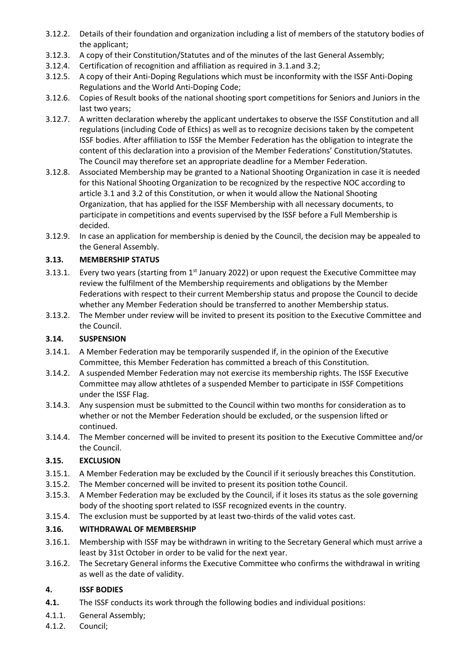- 3.12.2. Details of their foundation and organization including a list of members of the statutory bodies of the applicant;
- 3.12.3. A copy of their Constitution/Statutes and of the minutes of the last General Assembly;
- 3.12.4. Certification of recognition and affiliation as required in 3.1.and 3.2;
- 3.12.5. A copy of their Anti-Doping Regulations which must be inconformity with the ISSF Anti-Doping Regulations and the World Anti-Doping Code;
- 3.12.6. Copies of Result books of the national shooting sport competitions for Seniors and Juniors in the last two years;
- 3.12.7. A written declaration whereby the applicant undertakes to observe the ISSF Constitution and all regulations (including Code of Ethics) as well as to recognize decisions taken by the competent ISSF bodies. After affiliation to ISSF the Member Federation has the obligation to integrate the content of this declaration into a provision of the Member Federations' Constitution/Statutes. The Council may therefore set an appropriate deadline for a Member Federation.
- 3.12.8. Associated Membership may be granted to a National Shooting Organization in case it is needed for this National Shooting Organization to be recognized by the respective NOC according to article 3.1 and 3.2 of this Constitution, or when it would allow the National Shooting Organization, that has applied for the ISSF Membership with all necessary documents, to participate in competitions and events supervised by the ISSF before a Full Membership is decided.
- 3.12.9. In case an application for membership is denied by the Council, the decision may be appealed to the General Assembly.

### **3.13. MEMBERSHIP STATUS**

- 3.13.1. Every two years (starting from  $1<sup>st</sup>$  January 2022) or upon request the Executive Committee may review the fulfilment of the Membership requirements and obligations by the Member Federations with respect to their current Membership status and propose the Council to decide whether any Member Federation should be transferred to another Membership status.
- 3.13.2. The Member under review will be invited to present its position to the Executive Committee and the Council.

### **3.14. SUSPENSION**

- 3.14.1. A Member Federation may be temporarily suspended if, in the opinion of the Executive Committee, this Member Federation has committed a breach of this Constitution.
- 3.14.2. A suspended Member Federation may not exercise its membership rights. The ISSF Executive Committee may allow athtletes of a suspended Member to participate in ISSF Competitions under the ISSF Flag.
- 3.14.3. Any suspension must be submitted to the Council within two months for consideration as to whether or not the Member Federation should be excluded, or the suspension lifted or continued.
- 3.14.4. The Member concerned will be invited to present its position to the Executive Committee and/or the Council.

#### **3.15. EXCLUSION**

- 3.15.1. A Member Federation may be excluded by the Council if it seriously breaches this Constitution.
- 3.15.2. The Member concerned will be invited to present its position tothe Council.
- 3.15.3. A Member Federation may be excluded by the Council, if it loses its status as the sole governing body of the shooting sport related to ISSF recognized events in the country.
- 3.15.4. The exclusion must be supported by at least two-thirds of the valid votes cast.

# **3.16. WITHDRAWAL OF MEMBERSHIP**

- 3.16.1. Membership with ISSF may be withdrawn in writing to the Secretary General which must arrive a least by 31st October in order to be valid for the next year.
- 3.16.2. The Secretary General informs the Executive Committee who confirms the withdrawal in writing as well as the date of validity.

# **4. ISSF BODIES**

- **4.1.** The ISSF conducts its work through the following bodies and individual positions:
- 4.1.1. General Assembly;
- 4.1.2. Council;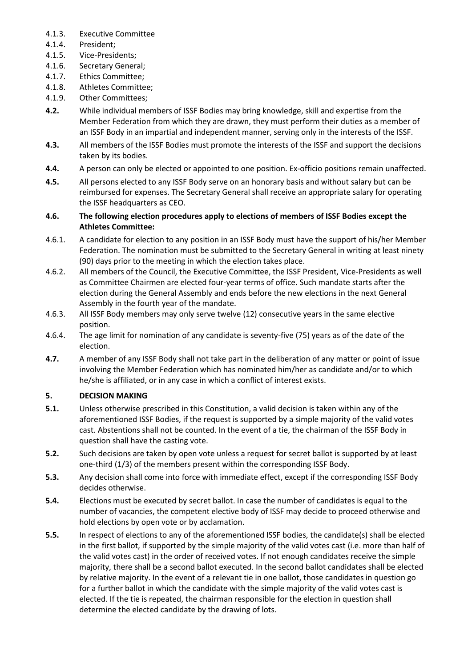- 4.1.3. Executive Committee
- 4.1.4. President;
- 4.1.5. Vice-Presidents;
- 4.1.6. Secretary General;
- 4.1.7. Ethics Committee;
- 4.1.8. Athletes Committee;
- 4.1.9. Other Committees;
- **4.2.** While individual members of ISSF Bodies may bring knowledge, skill and expertise from the Member Federation from which they are drawn, they must perform their duties as a member of an ISSF Body in an impartial and independent manner, serving only in the interests of the ISSF.
- **4.3.** All members of the ISSF Bodies must promote the interests of the ISSF and support the decisions taken by its bodies.
- **4.4.** A person can only be elected or appointed to one position. Ex-officio positions remain unaffected.
- **4.5.** All persons elected to any ISSF Body serve on an honorary basis and without salary but can be reimbursed for expenses. The Secretary General shall receive an appropriate salary for operating the ISSF headquarters as CEO.

### **4.6. The following election procedures apply to elections of members of ISSF Bodies except the Athletes Committee:**

- 4.6.1. A candidate for election to any position in an ISSF Body must have the support of his/her Member Federation. The nomination must be submitted to the Secretary General in writing at least ninety (90) days prior to the meeting in which the election takes place.
- 4.6.2. All members of the Council, the Executive Committee, the ISSF President, Vice-Presidents as well as Committee Chairmen are elected four-year terms of office. Such mandate starts after the election during the General Assembly and ends before the new elections in the next General Assembly in the fourth year of the mandate.
- 4.6.3. All ISSF Body members may only serve twelve (12) consecutive years in the same elective position.
- 4.6.4. The age limit for nomination of any candidate is seventy-five (75) years as of the date of the election.
- **4.7.** A member of any ISSF Body shall not take part in the deliberation of any matter or point of issue involving the Member Federation which has nominated him/her as candidate and/or to which he/she is affiliated, or in any case in which a conflict of interest exists.

# **5. DECISION MAKING**

- **5.1.** Unless otherwise prescribed in this Constitution, a valid decision is taken within any of the aforementioned ISSF Bodies, if the request is supported by a simple majority of the valid votes cast. Abstentions shall not be counted. In the event of a tie, the chairman of the ISSF Body in question shall have the casting vote.
- **5.2.** Such decisions are taken by open vote unless a request for secret ballot is supported by at least one-third (1/3) of the members present within the corresponding ISSF Body.
- **5.3.** Any decision shall come into force with immediate effect, except if the corresponding ISSF Body decides otherwise.
- **5.4.** Elections must be executed by secret ballot. In case the number of candidates is equal to the number of vacancies, the competent elective body of ISSF may decide to proceed otherwise and hold elections by open vote or by acclamation.
- **5.5.** In respect of elections to any of the aforementioned ISSF bodies, the candidate(s) shall be elected in the first ballot, if supported by the simple majority of the valid votes cast (i.e. more than half of the valid votes cast) in the order of received votes. If not enough candidates receive the simple majority, there shall be a second ballot executed. In the second ballot candidates shall be elected by relative majority. In the event of a relevant tie in one ballot, those candidates in question go for a further ballot in which the candidate with the simple majority of the valid votes cast is elected. If the tie is repeated, the chairman responsible for the election in question shall determine the elected candidate by the drawing of lots.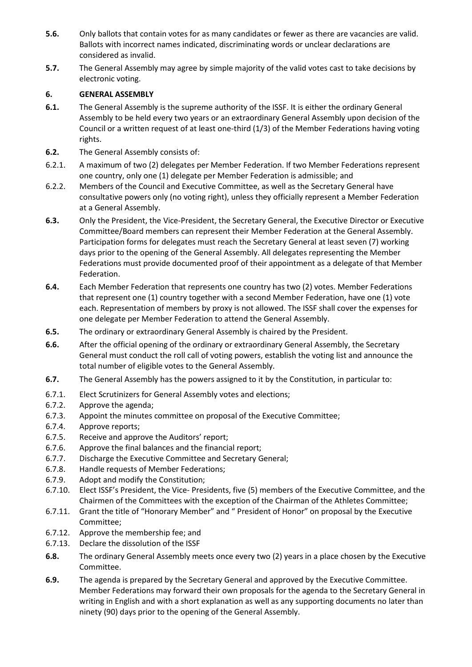- **5.6.** Only ballots that contain votes for as many candidates or fewer as there are vacancies are valid. Ballots with incorrect names indicated, discriminating words or unclear declarations are considered as invalid.
- **5.7.** The General Assembly may agree by simple majority of the valid votes cast to take decisions by electronic voting.

### **6. GENERAL ASSEMBLY**

- **6.1.** The General Assembly is the supreme authority of the ISSF. It is either the ordinary General Assembly to be held every two years or an extraordinary General Assembly upon decision of the Council or a written request of at least one-third (1/3) of the Member Federations having voting rights.
- **6.2.** The General Assembly consists of:
- 6.2.1. A maximum of two (2) delegates per Member Federation. If two Member Federations represent one country, only one (1) delegate per Member Federation is admissible; and
- 6.2.2. Members of the Council and Executive Committee, as well as the Secretary General have consultative powers only (no voting right), unless they officially represent a Member Federation at a General Assembly.
- **6.3.** Only the President, the Vice-President, the Secretary General, the Executive Director or Executive Committee/Board members can represent their Member Federation at the General Assembly. Participation forms for delegates must reach the Secretary General at least seven (7) working days prior to the opening of the General Assembly. All delegates representing the Member Federations must provide documented proof of their appointment as a delegate of that Member Federation.
- **6.4.** Each Member Federation that represents one country has two (2) votes. Member Federations that represent one (1) country together with a second Member Federation, have one (1) vote each. Representation of members by proxy is not allowed. The ISSF shall cover the expenses for one delegate per Member Federation to attend the General Assembly.
- **6.5.** The ordinary or extraordinary General Assembly is chaired by the President.
- **6.6.** After the official opening of the ordinary or extraordinary General Assembly, the Secretary General must conduct the roll call of voting powers, establish the voting list and announce the total number of eligible votes to the General Assembly.
- **6.7.** The General Assembly has the powers assigned to it by the Constitution, in particular to:
- 6.7.1. Elect Scrutinizers for General Assembly votes and elections;
- 6.7.2. Approve the agenda;
- 6.7.3. Appoint the minutes committee on proposal of the Executive Committee;
- 6.7.4. Approve reports;
- 6.7.5. Receive and approve the Auditors' report;
- 6.7.6. Approve the final balances and the financial report;
- 6.7.7. Discharge the Executive Committee and Secretary General;
- 6.7.8. Handle requests of Member Federations;
- 6.7.9. Adopt and modify the Constitution;
- 6.7.10. Elect ISSF's President, the Vice- Presidents, five (5) members of the Executive Committee, and the Chairmen of the Committees with the exception of the Chairman of the Athletes Committee;
- 6.7.11. Grant the title of "Honorary Member" and " President of Honor" on proposal by the Executive Committee;
- 6.7.12. Approve the membership fee; and
- 6.7.13. Declare the dissolution of the ISSF
- **6.8.** The ordinary General Assembly meets once every two (2) years in a place chosen by the Executive Committee.
- **6.9.** The agenda is prepared by the Secretary General and approved by the Executive Committee. Member Federations may forward their own proposals for the agenda to the Secretary General in writing in English and with a short explanation as well as any supporting documents no later than ninety (90) days prior to the opening of the General Assembly.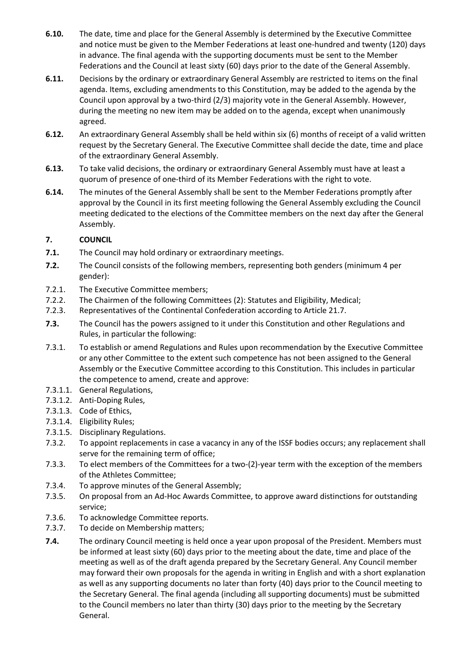- **6.10.** The date, time and place for the General Assembly is determined by the Executive Committee and notice must be given to the Member Federations at least one-hundred and twenty (120) days in advance. The final agenda with the supporting documents must be sent to the Member Federations and the Council at least sixty (60) days prior to the date of the General Assembly.
- **6.11.** Decisions by the ordinary or extraordinary General Assembly are restricted to items on the final agenda. Items, excluding amendments to this Constitution, may be added to the agenda by the Council upon approval by a two-third (2/3) majority vote in the General Assembly. However, during the meeting no new item may be added on to the agenda, except when unanimously agreed.
- **6.12.** An extraordinary General Assembly shall be held within six (6) months of receipt of a valid written request by the Secretary General. The Executive Committee shall decide the date, time and place of the extraordinary General Assembly.
- **6.13.** To take valid decisions, the ordinary or extraordinary General Assembly must have at least a quorum of presence of one-third of its Member Federations with the right to vote.
- **6.14.** The minutes of the General Assembly shall be sent to the Member Federations promptly after approval by the Council in its first meeting following the General Assembly excluding the Council meeting dedicated to the elections of the Committee members on the next day after the General Assembly.

### **7. COUNCIL**

- **7.1.** The Council may hold ordinary or extraordinary meetings.
- **7.2.** The Council consists of the following members, representing both genders (minimum 4 per gender):
- 7.2.1. The Executive Committee members;
- 7.2.2. The Chairmen of the following Committees (2): Statutes and Eligibility, Medical;
- 7.2.3. Representatives of the Continental Confederation according to Article 21.7.
- **7.3.** The Council has the powers assigned to it under this Constitution and other Regulations and Rules, in particular the following:
- 7.3.1. To establish or amend Regulations and Rules upon recommendation by the Executive Committee or any other Committee to the extent such competence has not been assigned to the General Assembly or the Executive Committee according to this Constitution. This includes in particular the competence to amend, create and approve:
- 7.3.1.1. General Regulations,
- 7.3.1.2. Anti-Doping Rules,
- 7.3.1.3. Code of Ethics,
- 7.3.1.4. Eligibility Rules;
- 7.3.1.5. Disciplinary Regulations.
- 7.3.2. To appoint replacements in case a vacancy in any of the ISSF bodies occurs; any replacement shall serve for the remaining term of office;
- 7.3.3. To elect members of the Committees for a two-(2)-year term with the exception of the members of the Athletes Committee;
- 7.3.4. To approve minutes of the General Assembly;
- 7.3.5. On proposal from an Ad-Hoc Awards Committee, to approve award distinctions for outstanding service;
- 7.3.6. To acknowledge Committee reports.
- 7.3.7. To decide on Membership matters;
- **7.4.** The ordinary Council meeting is held once a year upon proposal of the President. Members must be informed at least sixty (60) days prior to the meeting about the date, time and place of the meeting as well as of the draft agenda prepared by the Secretary General. Any Council member may forward their own proposals for the agenda in writing in English and with a short explanation as well as any supporting documents no later than forty (40) days prior to the Council meeting to the Secretary General. The final agenda (including all supporting documents) must be submitted to the Council members no later than thirty (30) days prior to the meeting by the Secretary General.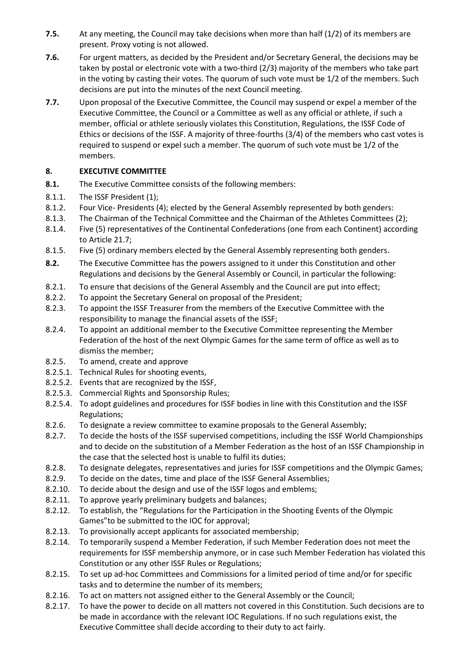- **7.5.** At any meeting, the Council may take decisions when more than half (1/2) of its members are present. Proxy voting is not allowed.
- **7.6.** For urgent matters, as decided by the President and/or Secretary General, the decisions may be taken by postal or electronic vote with a two-third (2/3) majority of the members who take part in the voting by casting their votes. The quorum of such vote must be 1/2 of the members. Such decisions are put into the minutes of the next Council meeting.
- **7.7.** Upon proposal of the Executive Committee, the Council may suspend or expel a member of the Executive Committee, the Council or a Committee as well as any official or athlete, if such a member, official or athlete seriously violates this Constitution, Regulations, the ISSF Code of Ethics or decisions of the ISSF. A majority of three-fourths (3/4) of the members who cast votes is required to suspend or expel such a member. The quorum of such vote must be 1/2 of the members.

# **8. EXECUTIVE COMMITTEE**

- **8.1.** The Executive Committee consists of the following members:
- 8.1.1. The ISSF President (1);
- 8.1.2. Four Vice- Presidents (4); elected by the General Assembly represented by both genders:
- 8.1.3. The Chairman of the Technical Committee and the Chairman of the Athletes Committees (2);
- 8.1.4. Five (5) representatives of the Continental Confederations (one from each Continent) according to Article 21.7;
- 8.1.5. Five (5) ordinary members elected by the General Assembly representing both genders.
- **8.2.** The Executive Committee has the powers assigned to it under this Constitution and other Regulations and decisions by the General Assembly or Council, in particular the following:
- 8.2.1. To ensure that decisions of the General Assembly and the Council are put into effect;
- 8.2.2. To appoint the Secretary General on proposal of the President;
- 8.2.3. To appoint the ISSF Treasurer from the members of the Executive Committee with the responsibility to manage the financial assets of the ISSF;
- 8.2.4. To appoint an additional member to the Executive Committee representing the Member Federation of the host of the next Olympic Games for the same term of office as well as to dismiss the member;
- 8.2.5. To amend, create and approve
- 8.2.5.1. Technical Rules for shooting events,
- 8.2.5.2. Events that are recognized by the ISSF,
- 8.2.5.3. Commercial Rights and Sponsorship Rules;
- 8.2.5.4. To adopt guidelines and procedures for ISSF bodies in line with this Constitution and the ISSF Regulations;
- 8.2.6. To designate a review committee to examine proposals to the General Assembly;
- 8.2.7. To decide the hosts of the ISSF supervised competitions, including the ISSF World Championships and to decide on the substitution of a Member Federation as the host of an ISSF Championship in the case that the selected host is unable to fulfil its duties;
- 8.2.8. To designate delegates, representatives and juries for ISSF competitions and the Olympic Games;
- 8.2.9. To decide on the dates, time and place of the ISSF General Assemblies;
- 8.2.10. To decide about the design and use of the ISSF logos and emblems;
- 8.2.11. To approve yearly preliminary budgets and balances;
- 8.2.12. To establish, the "Regulations for the Participation in the Shooting Events of the Olympic Games"to be submitted to the IOC for approval;
- 8.2.13. To provisionally accept applicants for associated membership;
- 8.2.14. To temporarily suspend a Member Federation, if such Member Federation does not meet the requirements for ISSF membership anymore, or in case such Member Federation has violated this Constitution or any other ISSF Rules or Regulations;
- 8.2.15. To set up ad-hoc Committees and Commissions for a limited period of time and/or for specific tasks and to determine the number of its members;
- 8.2.16. To act on matters not assigned either to the General Assembly or the Council;
- 8.2.17. To have the power to decide on all matters not covered in this Constitution. Such decisions are to be made in accordance with the relevant IOC Regulations. If no such regulations exist, the Executive Committee shall decide according to their duty to act fairly.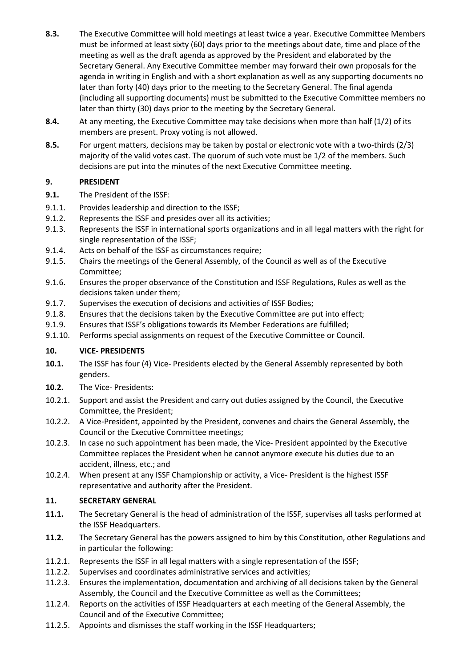- **8.3.** The Executive Committee will hold meetings at least twice a year. Executive Committee Members must be informed at least sixty (60) days prior to the meetings about date, time and place of the meeting as well as the draft agenda as approved by the President and elaborated by the Secretary General. Any Executive Committee member may forward their own proposals for the agenda in writing in English and with a short explanation as well as any supporting documents no later than forty (40) days prior to the meeting to the Secretary General. The final agenda (including all supporting documents) must be submitted to the Executive Committee members no later than thirty (30) days prior to the meeting by the Secretary General.
- **8.4.** At any meeting, the Executive Committee may take decisions when more than half (1/2) of its members are present. Proxy voting is not allowed.
- **8.5.** For urgent matters, decisions may be taken by postal or electronic vote with a two-thirds (2/3) majority of the valid votes cast. The quorum of such vote must be 1/2 of the members. Such decisions are put into the minutes of the next Executive Committee meeting.

### **9. PRESIDENT**

- **9.1.** The President of the ISSF:
- 9.1.1. Provides leadership and direction to the ISSF;
- 9.1.2. Represents the ISSF and presides over all its activities;
- 9.1.3. Represents the ISSF in international sports organizations and in all legal matters with the right for single representation of the ISSF;
- 9.1.4. Acts on behalf of the ISSF as circumstances require;
- 9.1.5. Chairs the meetings of the General Assembly, of the Council as well as of the Executive Committee;
- 9.1.6. Ensures the proper observance of the Constitution and ISSF Regulations, Rules as well as the decisions taken under them;
- 9.1.7. Supervises the execution of decisions and activities of ISSF Bodies;
- 9.1.8. Ensures that the decisions taken by the Executive Committee are put into effect;
- 9.1.9. Ensures that ISSF's obligations towards its Member Federations are fulfilled;
- 9.1.10. Performs special assignments on request of the Executive Committee or Council.

#### **10. VICE- PRESIDENTS**

- **10.1.** The ISSF has four (4) Vice- Presidents elected by the General Assembly represented by both genders.
- **10.2.** The Vice- Presidents:
- 10.2.1. Support and assist the President and carry out duties assigned by the Council, the Executive Committee, the President;
- 10.2.2. A Vice-President, appointed by the President, convenes and chairs the General Assembly, the Council or the Executive Committee meetings;
- 10.2.3. In case no such appointment has been made, the Vice- President appointed by the Executive Committee replaces the President when he cannot anymore execute his duties due to an accident, illness, etc.; and
- 10.2.4. When present at any ISSF Championship or activity, a Vice- President is the highest ISSF representative and authority after the President.

#### **11. SECRETARY GENERAL**

- **11.1.** The Secretary General is the head of administration of the ISSF, supervises all tasks performed at the ISSF Headquarters.
- **11.2.** The Secretary General has the powers assigned to him by this Constitution, other Regulations and in particular the following:
- 11.2.1. Represents the ISSF in all legal matters with a single representation of the ISSF;
- 11.2.2. Supervises and coordinates administrative services and activities;
- 11.2.3. Ensures the implementation, documentation and archiving of all decisions taken by the General Assembly, the Council and the Executive Committee as well as the Committees;
- 11.2.4. Reports on the activities of ISSF Headquarters at each meeting of the General Assembly, the Council and of the Executive Committee;
- 11.2.5. Appoints and dismisses the staff working in the ISSF Headquarters;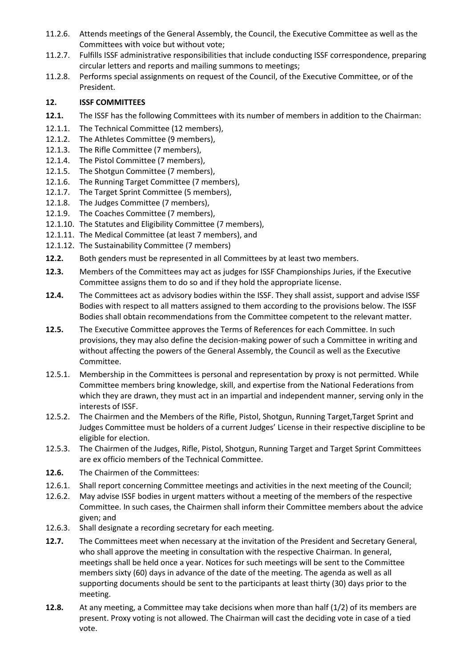- 11.2.6. Attends meetings of the General Assembly, the Council, the Executive Committee as well as the Committees with voice but without vote;
- 11.2.7. Fulfills ISSF administrative responsibilities that include conducting ISSF correspondence, preparing circular letters and reports and mailing summons to meetings;
- 11.2.8. Performs special assignments on request of the Council, of the Executive Committee, or of the President.

#### **12. ISSF COMMITTEES**

- **12.1.** The ISSF has the following Committees with its number of members in addition to the Chairman:
- 12.1.1. The Technical Committee (12 members),
- 12.1.2. The Athletes Committee (9 members),
- 12.1.3. The Rifle Committee (7 members),
- 12.1.4. The Pistol Committee (7 members),
- 12.1.5. The Shotgun Committee (7 members),
- 12.1.6. The Running Target Committee (7 members),
- 12.1.7. The Target Sprint Committee (5 members),
- 12.1.8. The Judges Committee (7 members),
- 12.1.9. The Coaches Committee (7 members),
- 12.1.10. The Statutes and Eligibility Committee (7 members),
- 12.1.11. The Medical Committee (at least 7 members), and
- 12.1.12. The Sustainability Committee (7 members)
- **12.2.** Both genders must be represented in all Committees by at least two members.
- **12.3.** Members of the Committees may act as judges for ISSF Championships Juries, if the Executive Committee assigns them to do so and if they hold the appropriate license.
- **12.4.** The Committees act as advisory bodies within the ISSF. They shall assist, support and advise ISSF Bodies with respect to all matters assigned to them according to the provisions below. The ISSF Bodies shall obtain recommendations from the Committee competent to the relevant matter.
- **12.5.** The Executive Committee approves the Terms of References for each Committee. In such provisions, they may also define the decision-making power of such a Committee in writing and without affecting the powers of the General Assembly, the Council as well as the Executive Committee.
- 12.5.1. Membership in the Committees is personal and representation by proxy is not permitted. While Committee members bring knowledge, skill, and expertise from the National Federations from which they are drawn, they must act in an impartial and independent manner, serving only in the interests of ISSF.
- 12.5.2. The Chairmen and the Members of the Rifle, Pistol, Shotgun, Running Target,Target Sprint and Judges Committee must be holders of a current Judges' License in their respective discipline to be eligible for election.
- 12.5.3. The Chairmen of the Judges, Rifle, Pistol, Shotgun, Running Target and Target Sprint Committees are ex officio members of the Technical Committee.
- **12.6.** The Chairmen of the Committees:
- 12.6.1. Shall report concerning Committee meetings and activities in the next meeting of the Council;
- 12.6.2. May advise ISSF bodies in urgent matters without a meeting of the members of the respective Committee. In such cases, the Chairmen shall inform their Committee members about the advice given; and
- 12.6.3. Shall designate a recording secretary for each meeting.
- **12.7.** The Committees meet when necessary at the invitation of the President and Secretary General, who shall approve the meeting in consultation with the respective Chairman. In general, meetings shall be held once a year. Notices for such meetings will be sent to the Committee members sixty (60) days in advance of the date of the meeting. The agenda as well as all supporting documents should be sent to the participants at least thirty (30) days prior to the meeting.
- **12.8.** At any meeting, a Committee may take decisions when more than half (1/2) of its members are present. Proxy voting is not allowed. The Chairman will cast the deciding vote in case of a tied vote.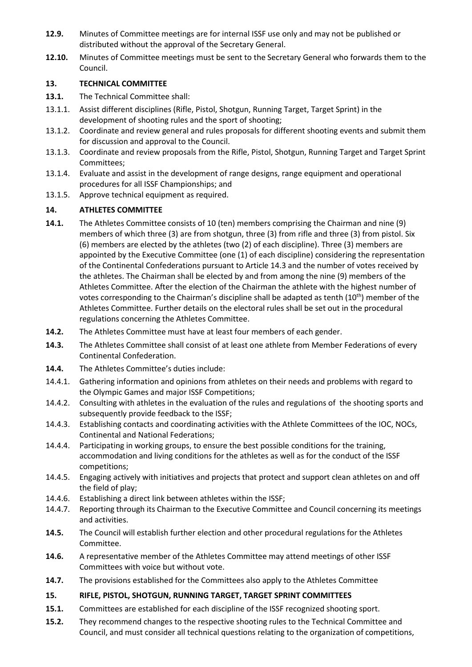- **12.9.** Minutes of Committee meetings are for internal ISSF use only and may not be published or distributed without the approval of the Secretary General.
- **12.10.** Minutes of Committee meetings must be sent to the Secretary General who forwards them to the Council.

### **13. TECHNICAL COMMITTEE**

- **13.1.** The Technical Committee shall:
- 13.1.1. Assist different disciplines (Rifle, Pistol, Shotgun, Running Target, Target Sprint) in the development of shooting rules and the sport of shooting;
- 13.1.2. Coordinate and review general and rules proposals for different shooting events and submit them for discussion and approval to the Council.
- 13.1.3. Coordinate and review proposals from the Rifle, Pistol, Shotgun, Running Target and Target Sprint Committees;
- 13.1.4. Evaluate and assist in the development of range designs, range equipment and operational procedures for all ISSF Championships; and
- 13.1.5. Approve technical equipment as required.

# **14. ATHLETES COMMITTEE**

- **14.1.** The Athletes Committee consists of 10 (ten) members comprising the Chairman and nine (9) members of which three (3) are from shotgun, three (3) from rifle and three (3) from pistol. Six (6) members are elected by the athletes (two (2) of each discipline). Three (3) members are appointed by the Executive Committee (one (1) of each discipline) considering the representation of the Continental Confederations pursuant to Article 14.3 and the number of votes received by the athletes. The Chairman shall be elected by and from among the nine (9) members of the Athletes Committee. After the election of the Chairman the athlete with the highest number of votes corresponding to the Chairman's discipline shall be adapted as tenth  $(10<sup>th</sup>)$  member of the Athletes Committee. Further details on the electoral rules shall be set out in the procedural regulations concerning the Athletes Committee.
- **14.2.** The Athletes Committee must have at least four members of each gender.
- **14.3.** The Athletes Committee shall consist of at least one athlete from Member Federations of every Continental Confederation.
- **14.4.** The Athletes Committee's duties include:
- 14.4.1. Gathering information and opinions from athletes on their needs and problems with regard to the Olympic Games and major ISSF Competitions;
- 14.4.2. Consulting with athletes in the evaluation of the rules and regulations of the shooting sports and subsequently provide feedback to the ISSF;
- 14.4.3. Establishing contacts and coordinating activities with the Athlete Committees of the IOC, NOCs, Continental and National Federations;
- 14.4.4. Participating in working groups, to ensure the best possible conditions for the training, accommodation and living conditions for the athletes as well as for the conduct of the ISSF competitions;
- 14.4.5. Engaging actively with initiatives and projects that protect and support clean athletes on and off the field of play;
- 14.4.6. Establishing a direct link between athletes within the ISSF;
- 14.4.7. Reporting through its Chairman to the Executive Committee and Council concerning its meetings and activities.
- **14.5.** The Council will establish further election and other procedural regulations for the Athletes Committee.
- **14.6.** A representative member of the Athletes Committee may attend meetings of other ISSF Committees with voice but without vote.
- **14.7.** The provisions established for the Committees also apply to the Athletes Committee

# **15. RIFLE, PISTOL, SHOTGUN, RUNNING TARGET, TARGET SPRINT COMMITTEES**

- **15.1.** Committees are established for each discipline of the ISSF recognized shooting sport.
- **15.2.** They recommend changes to the respective shooting rules to the Technical Committee and Council, and must consider all technical questions relating to the organization of competitions,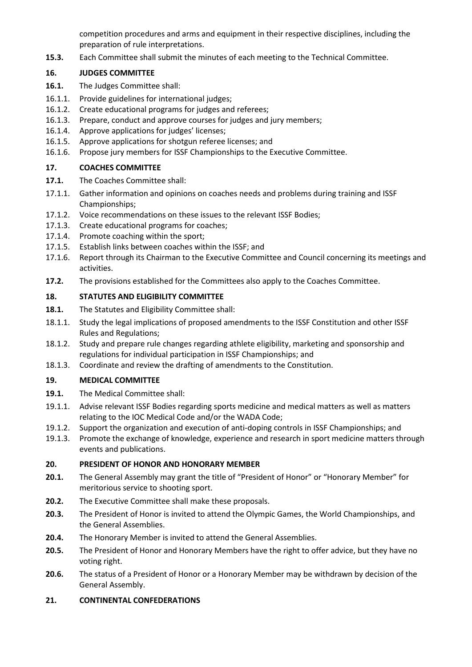competition procedures and arms and equipment in their respective disciplines, including the preparation of rule interpretations.

**15.3.** Each Committee shall submit the minutes of each meeting to the Technical Committee.

### **16. JUDGES COMMITTEE**

- **16.1.** The Judges Committee shall:
- 16.1.1. Provide guidelines for international judges;
- 16.1.2. Create educational programs for judges and referees;
- 16.1.3. Prepare, conduct and approve courses for judges and jury members;
- 16.1.4. Approve applications for judges' licenses;
- 16.1.5. Approve applications for shotgun referee licenses; and
- 16.1.6. Propose jury members for ISSF Championships to the Executive Committee.

# **17. COACHES COMMITTEE**

- **17.1.** The Coaches Committee shall:
- 17.1.1. Gather information and opinions on coaches needs and problems during training and ISSF Championships;
- 17.1.2. Voice recommendations on these issues to the relevant ISSF Bodies;
- 17.1.3. Create educational programs for coaches;
- 17.1.4. Promote coaching within the sport;
- 17.1.5. Establish links between coaches within the ISSF; and
- 17.1.6. Report through its Chairman to the Executive Committee and Council concerning its meetings and activities.
- **17.2.** The provisions established for the Committees also apply to the Coaches Committee.

### **18. STATUTES AND ELIGIBILITY COMMITTEE**

- **18.1.** The Statutes and Eligibility Committee shall:
- 18.1.1. Study the legal implications of proposed amendments to the ISSF Constitution and other ISSF Rules and Regulations;
- 18.1.2. Study and prepare rule changes regarding athlete eligibility, marketing and sponsorship and regulations for individual participation in ISSF Championships; and
- 18.1.3. Coordinate and review the drafting of amendments to the Constitution.

# **19. MEDICAL COMMITTEE**

- **19.1.** The Medical Committee shall:
- 19.1.1. Advise relevant ISSF Bodies regarding sports medicine and medical matters as well as matters relating to the IOC Medical Code and/or the WADA Code;
- 19.1.2. Support the organization and execution of anti-doping controls in ISSF Championships; and
- 19.1.3. Promote the exchange of knowledge, experience and research in sport medicine matters through events and publications.

# **20. PRESIDENT OF HONOR AND HONORARY MEMBER**

- **20.1.** The General Assembly may grant the title of "President of Honor" or "Honorary Member" for meritorious service to shooting sport.
- **20.2.** The Executive Committee shall make these proposals.
- **20.3.** The President of Honor is invited to attend the Olympic Games, the World Championships, and the General Assemblies.
- **20.4.** The Honorary Member is invited to attend the General Assemblies.
- **20.5.** The President of Honor and Honorary Members have the right to offer advice, but they have no voting right.
- **20.6.** The status of a President of Honor or a Honorary Member may be withdrawn by decision of the General Assembly.

#### **21. CONTINENTAL CONFEDERATIONS**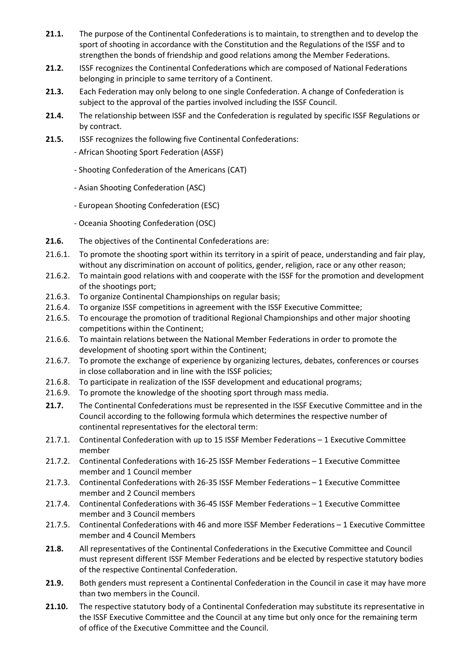- **21.1.** The purpose of the Continental Confederations is to maintain, to strengthen and to develop the sport of shooting in accordance with the Constitution and the Regulations of the ISSF and to strengthen the bonds of friendship and good relations among the Member Federations.
- **21.2.** ISSF recognizes the Continental Confederations which are composed of National Federations belonging in principle to same territory of a Continent.
- **21.3.** Each Federation may only belong to one single Confederation. A change of Confederation is subject to the approval of the parties involved including the ISSF Council.
- **21.4.** The relationship between ISSF and the Confederation is regulated by specific ISSF Regulations or by contract.
- **21.5.** ISSF recognizes the following five Continental Confederations:
	- African Shooting Sport Federation (ASSF)
	- Shooting Confederation of the Americans (CAT)
	- Asian Shooting Confederation (ASC)
	- European Shooting Confederation (ESC)
	- Oceania Shooting Confederation (OSC)
- **21.6.** The objectives of the Continental Confederations are:
- 21.6.1. To promote the shooting sport within its territory in a spirit of peace, understanding and fair play, without any discrimination on account of politics, gender, religion, race or any other reason;
- 21.6.2. To maintain good relations with and cooperate with the ISSF for the promotion and development of the shootings port;
- 21.6.3. To organize Continental Championships on regular basis;
- 21.6.4. To organize ISSF competitions in agreement with the ISSF Executive Committee;
- 21.6.5. To encourage the promotion of traditional Regional Championships and other major shooting competitions within the Continent;
- 21.6.6. To maintain relations between the National Member Federations in order to promote the development of shooting sport within the Continent;
- 21.6.7. To promote the exchange of experience by organizing lectures, debates, conferences or courses in close collaboration and in line with the ISSF policies;
- 21.6.8. To participate in realization of the ISSF development and educational programs;
- 21.6.9. To promote the knowledge of the shooting sport through mass media.
- **21.7.** The Continental Confederations must be represented in the ISSF Executive Committee and in the Council according to the following formula which determines the respective number of continental representatives for the electoral term:
- 21.7.1. Continental Confederation with up to 15 ISSF Member Federations 1 Executive Committee member
- 21.7.2. Continental Confederations with 16-25 ISSF Member Federations 1 Executive Committee member and 1 Council member
- 21.7.3. Continental Confederations with 26-35 ISSF Member Federations 1 Executive Committee member and 2 Council members
- 21.7.4. Continental Confederations with 36-45 ISSF Member Federations 1 Executive Committee member and 3 Council members
- 21.7.5. Continental Confederations with 46 and more ISSF Member Federations 1 Executive Committee member and 4 Council Members
- **21.8.** All representatives of the Continental Confederations in the Executive Committee and Council must represent different ISSF Member Federations and be elected by respective statutory bodies of the respective Continental Confederation.
- **21.9.** Both genders must represent a Continental Confederation in the Council in case it may have more than two members in the Council.
- **21.10.** The respective statutory body of a Continental Confederation may substitute its representative in the ISSF Executive Committee and the Council at any time but only once for the remaining term of office of the Executive Committee and the Council.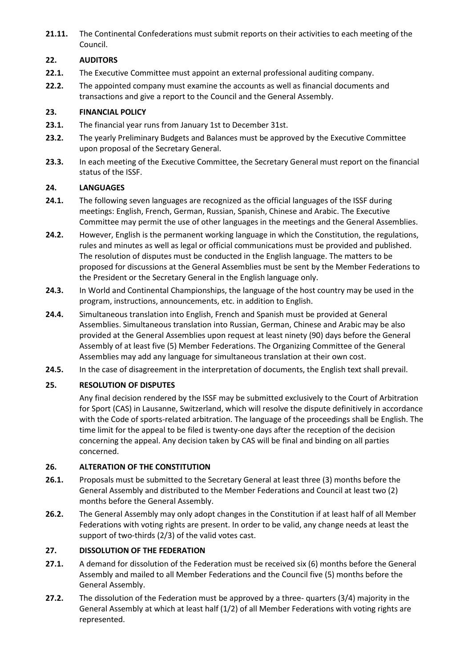**21.11.** The Continental Confederations must submit reports on their activities to each meeting of the Council.

# **22. AUDITORS**

- **22.1.** The Executive Committee must appoint an external professional auditing company.
- **22.2.** The appointed company must examine the accounts as well as financial documents and transactions and give a report to the Council and the General Assembly.

#### **23. FINANCIAL POLICY**

- **23.1.** The financial year runs from January 1st to December 31st.
- **23.2.** The yearly Preliminary Budgets and Balances must be approved by the Executive Committee upon proposal of the Secretary General.
- **23.3.** In each meeting of the Executive Committee, the Secretary General must report on the financial status of the ISSF.

#### **24. LANGUAGES**

- **24.1.** The following seven languages are recognized as the official languages of the ISSF during meetings: English, French, German, Russian, Spanish, Chinese and Arabic. The Executive Committee may permit the use of other languages in the meetings and the General Assemblies.
- **24.2.** However, English is the permanent working language in which the Constitution, the regulations, rules and minutes as well as legal or official communications must be provided and published. The resolution of disputes must be conducted in the English language. The matters to be proposed for discussions at the General Assemblies must be sent by the Member Federations to the President or the Secretary General in the English language only.
- **24.3.** In World and Continental Championships, the language of the host country may be used in the program, instructions, announcements, etc. in addition to English.
- **24.4.** Simultaneous translation into English, French and Spanish must be provided at General Assemblies. Simultaneous translation into Russian, German, Chinese and Arabic may be also provided at the General Assemblies upon request at least ninety (90) days before the General Assembly of at least five (5) Member Federations. The Organizing Committee of the General Assemblies may add any language for simultaneous translation at their own cost.
- **24.5.** In the case of disagreement in the interpretation of documents, the English text shall prevail.

#### **25. RESOLUTION OF DISPUTES**

Any final decision rendered by the ISSF may be submitted exclusively to the Court of Arbitration for Sport (CAS) in Lausanne, Switzerland, which will resolve the dispute definitively in accordance with the Code of sports-related arbitration. The language of the proceedings shall be English. The time limit for the appeal to be filed is twenty-one days after the reception of the decision concerning the appeal. Any decision taken by CAS will be final and binding on all parties concerned.

#### **26. ALTERATION OF THE CONSTITUTION**

- **26.1.** Proposals must be submitted to the Secretary General at least three (3) months before the General Assembly and distributed to the Member Federations and Council at least two (2) months before the General Assembly.
- **26.2.** The General Assembly may only adopt changes in the Constitution if at least half of all Member Federations with voting rights are present. In order to be valid, any change needs at least the support of two-thirds (2/3) of the valid votes cast.

### **27. DISSOLUTION OF THE FEDERATION**

- **27.1.** A demand for dissolution of the Federation must be received six (6) months before the General Assembly and mailed to all Member Federations and the Council five (5) months before the General Assembly.
- **27.2.** The dissolution of the Federation must be approved by a three- quarters (3/4) majority in the General Assembly at which at least half (1/2) of all Member Federations with voting rights are represented.